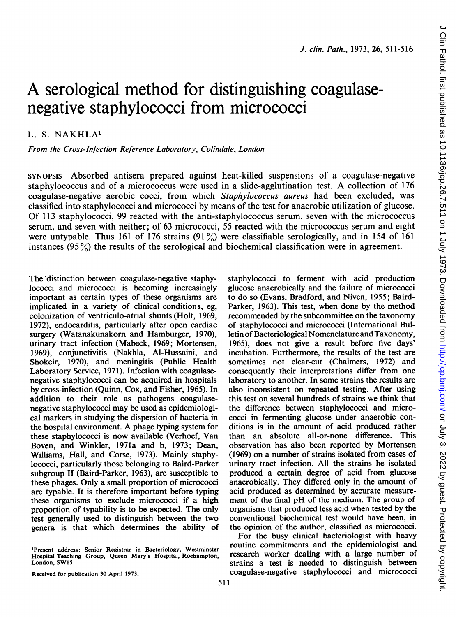# A serological method for distinguishing coagulasenegative staphylococci from micrococci

# L. S. NAKHLA'

From the Cross-Infection Reference Laboratory, Colindale, London

SYNOPSIS Absorbed antisera prepared against heat-killed suspensions of a coagulase-negative staphylococcus and of <sup>a</sup> micrococcus were used in <sup>a</sup> slide-agglutination test. A collection of <sup>176</sup> coagulase-negative aerobic cocci, from which Staphylococcus aureus had been excluded, was classified into staphylococci and micrococci by means of the test for anaerobic utilization of glucose. Of 113 staphylococci, 99 reacted with the anti-staphylococcus serum, seven with the micrococcus serum, and seven with neither; of 63 micrococci, 55 reacted with the micrococcus serum and eight were untypable. Thus 161 of 176 strains  $(91\%)$  were classifiable serologically, and in 154 of 161 instances  $(95\%)$  the results of the serological and biochemical classification were in agreement.

The distinction between coagulase-negative staphylococci and micrococci is becoming increasingly important as certain types of these organisms are implicated in a variety of clinical conditions, eg, colonization of ventriculo-atrial shunts (Holt, 1969, 1972), endocarditis, particularly after open cardiac surgery (Watanakunakorn and Hamburger, 1970), urinary tract infection (Mabeck, 1969; Mortensen, 1969), conjunctivitis (Nakhla, Al-Hussaini, and Shokeir, 1970), and meningitis (Public Health Laboratory Service, 1971). Infection with coagulasenegative staphylococci can be acquired in hospitals by cross-infection (Quinn, Cox, and Fisher, 1965). In addition to their role as pathogens coagulasenegative staphylococci may be used as epidemiological markers in studying the dispersion of bacteria in the hospital environment. A phage typing system for these staphylococci is now available (Verhoef, Van Boven, and Winkler, 1971a and b, 1973; Dean, Williams, Hall, and Corse, 1973). Mainly staphylococci, particularly those belonging to Baird-Parker subgroup II (Baird-Parker, 1963), are susceptible to these phages. Only a small proportion of micrococci are typable. It is therefore important before typing these organisms to exclude micrococci if a high proportion of typability is to be expected. The only test generally used to distinguish between the two genera is that which determines the ability of

'Present address: Senior Registrar in Bacteriology, Westminster Hospital Teaching Group, Queen Mary's Hospital, Roehampton, London, SWI5

staphylococci to ferment with acid production glucose anaerobically and the failure of micrococci to do so (Evans, Bradford, and Niven, 1955; Baird-Parker, 1963). This test, when done by the method recommended by the subcommittee on the taxonomy of staphylococci and micrococci (International Bulletin of Bacteriological Nomenclature and Taxonomy, 1965), does not give a result before five days' incubation. Furthermore, the results of the test are sometimes not clear-cut (Chalmers, 1972) and consequently their interpretations differ from one laboratory to another. In some strains the results are also inconsistent on repeated testing. After using this test on several hundreds of strains we think that the difference between staphylococci and micrococci in fermenting glucose under anaerobic conditions is in the amount of acid produced rather than an absolute all-or-none difference. This observation has also been reported by Mortensen (1969) on a number of strains isolated from cases of urinary tract infection. All the strains he isolated produced a certain degree of acid from glucose anaerobically. They differed only in the amount of acid produced as determined by accurate measurement of the final pH of the medium. The group of organisms that produced less acid when tested by the conventional biochemical test would have been, in the opinion of the author, classified as micrococci.

For the busy clinical bacteriologist with heavy routine commitments and the epidemiologist and research worker dealing with a large number of strains a test is needed to distinguish between coagulase-negative staphylococci and micrococci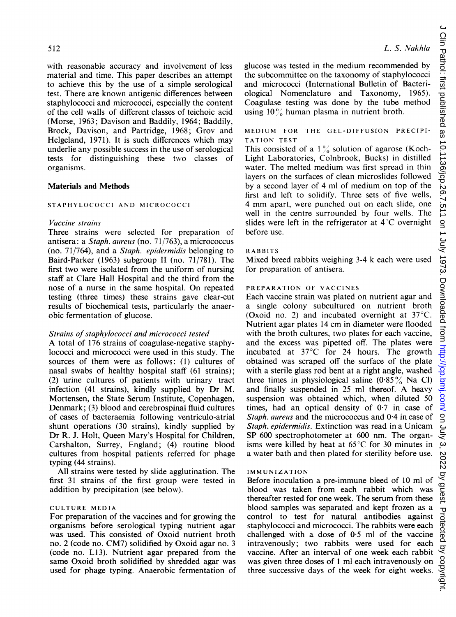with reasonable accuracy and involvement of less material and time. This paper describes an attempt to achieve this by the use of a simple serological test. There are known antigenic differences between staphylococci and micrococci, especially the content of the cell walls of different classes of teichoic acid (Morse, 1963; Davison and Baddily, 1964; Baddily, Brock, Davison, and Partridge, 1968; Grov and Helgeland, 1971). It is such differences which may underlie any possible success in the use of serological tests for distinguishing these two classes of organisms.

#### Materials and Methods

### STAPHYLOCOCCI AND MICROCOCCI

# Vaccine strains

Three strains were selected for preparation of antisera: a Staph. aureus (no. 71/763), a micrococcus (no. 71/764), and a Staph. epidermidis belonging to Baird-Parker (1963) subgroup II (no. 71/781). The first two were isolated from the uniform of nursing staff at Clare Hall Hospital and the third from the nose of a nurse in the same hospital. On repeated testing (three times) these strains gave clear-cut results of biochemical tests, particularly the anaerobic fermentation of glucose.

# Strains of staphylococci and micrococci tested

A total of <sup>176</sup> strains of coagulase-negative staphylococci and micrococci were used in this study. The sources of them were as follows: (1) cultures of nasal swabs of healthy hospital staff (61 strains); (2) urine cultures of patients with urinary tract infection (41 strains), kindly supplied by Dr M. Mortensen, the State Serum Institute, Copenhagen, Denmark; (3) blood and cerebrospinal fluid cultures of cases of bacteraemia following ventriculo-atrial shunt operations (30 strains), kindly supplied by Dr R. J. Holt, Queen Mary's Hospital for Children, Carshalton, Surrey, England; (4) routine blood cultures from hospital patients referred for phage typing (44 strains).

All strains were tested by slide agglutination. The first 31 strains of the first group were tested in addition by precipitation (see below).

### CULTURE MEDIA

For preparation of the vaccines and for growing the organisms before serological typing nutrient agar was used. This consisted of Oxoid nutrient broth no. 2 (code no. CM7) solidified by Oxoid agar no. <sup>3</sup> (code no. L13). Nutrient agar prepared from the same Oxoid broth solidified by shredded agar was used for phage typing. Anaerobic fermentation of glucose was tested in the medium recommended by the subcommittee on the taxonomy of staphylococci and micrococci (International Bulletin of Bacteriological Nomenclature and Taxonomy, 1965). Coagulase testing was done by the tube method using  $10\%$  human plasma in nutrient broth.

### MEDIUM FOR THE GEL-DIFFUSION PRECIPI-TATION TEST

This consisted of a  $1\frac{6}{6}$  solution of agarose (Koch-Light Laboratories, Colnbrook, Bucks) in distilled water. The melted medium was first spread in thin layers on the surfaces of clean microslides followed by a second layer of 4 ml of medium on top of the first and left to solidify. Three sets of five wells, <sup>4</sup> mm apart, were punched out on each slide, one well in the centre surrounded by four wells. The slides were left in the refrigerator at  $4^{\circ}$ C overnight before use.

#### RABBITS

Mixed breed rabbits weighing 3-4 k each were used for preparation of antisera.

#### PREPARATION OF VACCINES

Each vaccine strain was plated on nutrient agar and a single colony subcultured on nutrient broth (Oxoid no. 2) and incubated overnight at 37°C. Nutrient agar plates 14 cm in diameter were flooded with the broth cultures, two plates for each vaccine, and the excess was pipetted off. The plates were incubated at 37°C for 24 hours. The growth obtained was scraped off the surface of the plate with a sterile glass rod bent at a right angle, washed three times in physiological saline  $(0.85\%$  Na Cl) and finally suspended in <sup>25</sup> ml thereof. A heavy suspension was obtained which, when diluted 50 times, had an optical density of  $0.7$  in case of Staph. aureus and the micrococcus and 0.4 in case of Staph. epidermidis. Extinction was read in a Unicam SP 600 spectrophotometer at 600 nm. The organisms were killed by heat at  $65^{\circ}$ C for 30 minutes in a water bath and then plated for sterility before use.

#### IMMUNIZATION

Before inoculation a pre-immune bleed of 10 ml of blood was taken from each rabbit which was thereafter rested for one week. The serum from these blood samples was separated and kept frozen as a control to test for natural antibodies against staphylococci and micrococci. The rabbits were each challenged with a dose of 0-5 ml of the vaccine intravenously; two rabbits were used for each vaccine. After an interval of one week each rabbit was given three doses of <sup>1</sup> ml each intravenously on three successive days of the week for eight weeks.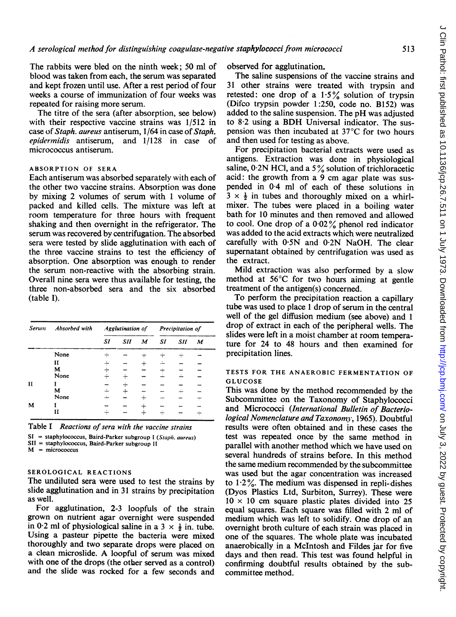The rabbits were bled on the ninth week; 50 ml of blood was taken from each, the serum was separated and kept frozen until use. After a rest period of four weeks a course of immunization of four weeks was repeated for raising more serum.

The titre of the sera (after absorption, see below) with their respective vaccine strains was 1/512 in case of Staph. aureus antiserum, 1/64 in case of Staph. epidermidis antiserum, and 1/128 in case of micrococcus antiserum.

#### ABSORPTION OF SERA

Each antiserum was absorbed separately with each of the other two vaccine strains. Absorption was done by mixing 2 volumes of serum with <sup>1</sup> volume of packed and killed cells. The mixture was left at room temperature for three hours with frequent shaking and then overnight in the refrigerator. The serum was recovered by centrifugation. The absorbed sera were tested by slide agglutination with each of the three vaccine strains to test the efficiency of absorption. One absorption was enough to render the serum non-reactive with the absorbing strain. Overall nine sera were thus available for testing, the three non-absorbed sera and the six absorbed (table I).

| Serum        | Absorbed with | Agglutination of |            |                  | Precipitation of |     |                  |
|--------------|---------------|------------------|------------|------------------|------------------|-----|------------------|
|              |               | SI               | <b>SII</b> | $\boldsymbol{M}$ | <b>SI</b>        | SII | $\boldsymbol{M}$ |
|              | None          |                  |            |                  |                  |     |                  |
|              | н             |                  |            |                  |                  |     |                  |
|              | M             |                  |            |                  |                  |     |                  |
|              | None          |                  |            |                  |                  |     |                  |
| $\mathbf{I}$ |               |                  |            |                  |                  |     |                  |
|              | м             |                  |            |                  |                  |     |                  |
|              | None          |                  |            |                  |                  |     |                  |
| M            |               |                  |            |                  |                  |     |                  |
|              | н             |                  |            |                  |                  |     |                  |

Table I Reactions of sera with the vaccine strains

 $SI =$  staphylococcus, Baird-Parker subgroup I (Staph. aureus)

SII = staphylococcus, Baird-Parker subgroup II

 $M =$  micrococcus

# SEROLOGICAL REACTIONS

The undiluted sera were used to test the strains by slide agglutination and in 31 strains by precipitation as well.

For agglutination, 2-3 loopfuls of the strain grown on nutrient agar overnight were suspended in 0.2 ml of physiological saline in a 3  $\times$   $\frac{1}{2}$  in. tube. Using a pasteur pipette the bacteria were mixed thoroughly and two separate drops were placed on <sup>a</sup> clean microslide. A loopful of serum was mixed with one of the drops (the other served as a control) and the slide was rocked for a few seconds and

observed for agglutination.

The saline suspensions of the vaccine strains and 31 other strains were treated with trypsin and retested: one drop of a  $1.5\%$  solution of trypsin (Difco trypsin powder 1:250, code no. B152) was added to the saline suspension. The pH was adjusted to 8-2 using <sup>a</sup> BDH Universal indicator. The suspension was then incubated at 37°C for two hours and then used for testing as above.

For precipitation bacterial extracts were used as antigens. Extraction was done in physiological saline,  $0.2N$  HCl, and a 5% solution of trichloracetic acid: the growth from a 9 cm agar plate was suspended in 0-4 ml of each of these solutions in  $3 \times \frac{1}{2}$  in tubes and thoroughly mixed on a whirlmixer. The tubes were placed in a boiling water bath for 10 minutes and then removed and allowed to cool. One drop of a  $0.02\%$  phenol red indicator was added to the acid extracts which were neutralized carefully with 0-5N and 0-2N NaOH. The clear supernatant obtained by centrifugation was used as the extract.

Mild extraction was also performed by a slow method at 56°C for two hours aiming at gentle treatment of the antigen(s) concerned.

To perform the precipitation reaction a capillary tube was used to place <sup>1</sup> drop of serum in the central well of the gel diffusion medium (see above) and <sup>1</sup> drop of extract in each of the peripheral wells. The slides were left in a moist chamber at room temperature for 24 to 48 hours and then examined for precipitation lines.

# TESTS FOR THE ANAEROBIC FERMENTATION OF GLUCOSE

This was done by the method recommended by the Subcommittee on the Taxonomy of Staphylococci and Micrococci (International Bulletin of Bacteriological Nomenclature and Taxonomy, 1965). Doubtful results were often obtained and in these cases the test was repeated once by the same method in parallel with another method which we have used on several hundreds of strains before. In this method the same medium recommended by the subcommittee was used but the agar concentration was increased to  $1.2\%$ . The medium was dispensed in repli-dishes (Dyos Plastics Ltd, Surbiton, Surrey). These were  $10 \times 10$  cm square plastic plates divided into 25 equal squares. Each square was filled with 2 ml of medium which was left to solidify. One drop of an overnight broth culture of each strain was placed in one of the squares. The whole plate was incubated anaerobically in a McIntosh and Fildes jar for five days and then read. This test was found helpful in confirming doubtful results obtained by the subcommittee method.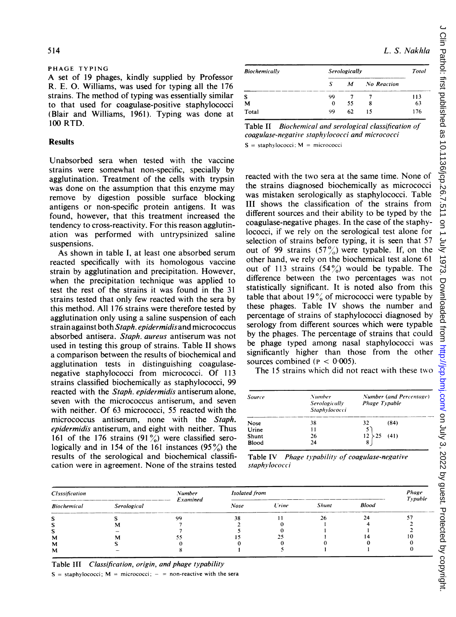#### PHAGE TYPING

A set of <sup>19</sup> phages, kindly supplied by Professor R. E. 0. Williams, was used for typing all the 176 strains. The method of typing was essentially similar to that used for coagulase-positive staphylococci (Blair and Williams, 1961). Typing was done at 100 RTD.

# **Results**

Unabsorbed sera when tested with the vaccine strains were somewhat non-specific, specially by agglutination. Treatment of the cells with trypsin was done on the assumption that this enzyme may remove by digestion possible surface blocking antigens or non-specific protein antigens. It was found, however, that this treatment increased the tendency to cross-reactivity. For this reason agglutination was performed with untrypsinized saline suspensions.

As shown in table I, at least one absorbed serum reacted specifically with its homologous vaccine strain by agglutination and precipitation. However, when the precipitation technique was applied to test the rest of the strains it was found in the 31 strains tested that only few reacted with the sera by this method. All 176 strains were therefore tested by agglutination only using a saline suspension of each strain against both Staph. epidermidis and micrococcus absorbed antisera. Staph. aureus antiserum was not used in testing this group of strains. Table II shows a comparison between the results of biochemical and agglutination tests in distinguishing coagulasenegative staphylococci from micrococci. Of 113 strains classified biochemically as staphylococci, 99 reacted with the Staph. epidermidis antiserum alone, seven with the micrococcus antiserum, and seven with neither. Of 63 micrococci, 55 reacted with the micrococcus antiserum, none with the Staph. epidermidis antiserum, and eight with neither. Thus 161 of the 176 strains  $(91\%)$  were classified serologically and in 154 of the 161 instances  $(95\%)$  the results of the serological and biochemical classification were in agreement. None of the strains tested

L. S. Nakhla

| <b>Biochemically</b> | Serologically |    |                    |     |
|----------------------|---------------|----|--------------------|-----|
|                      | S             | M  | <b>No Reaction</b> |     |
|                      | 99            |    |                    | 113 |
| м                    | 0             | 55 | 8                  | 63  |
| Total                | 99            | 62 | 15                 | 176 |

Table It Biochemical and serological classification of coagulase-negative staplhylococci and micrococci  $S =$  staphylococci:  $M =$  micrococci

reacted with the two sera at the same time. None of the strains diagnosed biochemically as micrococci was mistaken serologically as staphylococci. Table III shows the classification of the strains from different sources and their ability to be typed by the coagulase-negative phages. In the case of the staphylococci, if we rely on the serological test alone for selection of strains before typing, it is seen that 57 out of 99 strains  $(57\frac{9}{9})$  were typable. If, on the other hand, we rely on the biochemical test alone 61 out of 113 strains  $(54\%)$  would be typable. The difference between the two percentages was not statistically significant. It is noted also from this table that about  $19\%$  of micrococci were typable by these phages. Table IV shows the number and percentage of strains of staphylococci diagnosed by serology from different sources which were typable by the phages. The percentage of strains that could be phage typed among nasal staphylococci was significantly higher than those from the other sources combined ( $P < 0.005$ ).

The 15 strains which did not react with these two

| <b>Source</b> | Number<br>Serologically<br>Staphylococci | Number (and Percentage)<br>Phage Typable |  |  |  |  |
|---------------|------------------------------------------|------------------------------------------|--|--|--|--|
| Nose          | 38                                       | 32<br>(84)                               |  |  |  |  |
| Urine         | 11                                       |                                          |  |  |  |  |
| Shunt         | 26                                       | 12<br>(41)                               |  |  |  |  |
| Blood         | 24                                       |                                          |  |  |  |  |

Table IV Phage typability of coagulase-negative staphylococci

| Classification     |             | <b>Number</b><br>Examined | Isolated from | Phage<br>Typable |              |              |  |
|--------------------|-------------|---------------------------|---------------|------------------|--------------|--------------|--|
| <b>Biochemical</b> | Serological |                           | Nose          | <b>Urine</b>     | <b>Shunt</b> | <b>Blood</b> |  |
|                    |             | o٥                        | 38            |                  |              |              |  |
|                    |             |                           |               |                  |              |              |  |
|                    |             |                           |               |                  |              |              |  |
| M                  |             |                           |               |                  |              |              |  |
| м                  |             |                           |               |                  |              |              |  |
| м                  |             |                           |               |                  |              |              |  |

Table III Classification, origin, and phage typability

 $S =$  staphylococci;  $M =$  micrococci;  $-$  = non-reactive with the sera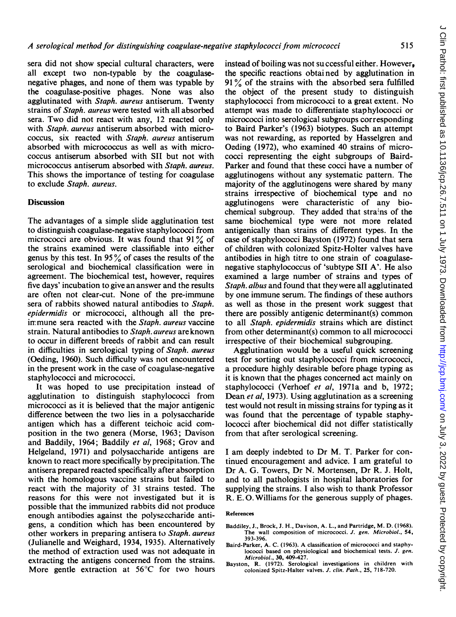sera did not show special cultural characters, were all except two non-typable by the coagulasenegative phages, and none of them was typable by the coagulase-positive phages. None was also agglutinated with Staph. aureus antiserum. Twenty strains of *Staph*. *aureus* were tested with all absorbed sera. Two did not react with any, 12 reacted only with *Staph. aureus* antiserum absorbed with micrococcus, six reacted with Staph. aureus antiserum absorbed with micrococcus as well as with micrococcus antiserum absorbed with SIL but not with micrococcus antiserum absorbed with Staph. aureus. This shows the importance of testing for coagulase to exclude Staph. aureus.

# **Discussion**

The advantages of a simple slide agglutination test to distinguish coagulase-negative staphylococci from micrococci are obvious. It was found that  $91\%$  of the strains examined were classifiable into either genus by this test. In 95 $\%$  of cases the results of the serological and biochemical classification were in agreement. The biochemical test, however, requires five days' incubation to give an answer and the results are often not clear-cut. None of the pre-immune sera of rabbits showed natural antibodies to Staph. epidermidis or micrococci, although all the preimmune sera reacted with the Staph. aureus vaccine strain. Natural antibodies to Staph. aureus are known to occur in different breeds of rabbit and can result in difficulties in serological typing of Staph. aureus (Oeding, 1960). Such difficulty was not encountered in the present work in the case of coagulase-negative staphylococci and micrococci.

It was hoped to use precipitation instead of agglutination to distinguish staphylococci from micrococci as it is believed that the major antigenic difference between the two lies in a polysaccharide antigen which has a different teichoic acid composition in the two genera (Morse, 1963; Davison and Baddily, 1964; Baddily et al, 1968; Grov and Helgeland, 1971) and polysaccharide antigens are known to react more specifically by precipitation. The antisera prepared reacted specifically after absorption with the homologous vaccine strains but failed to react with the majority of 31 strains tested. The reasons for this were not investigated but it is possible that the immunized rabbits did not produce enough antibodies against the polyseccharide antigens, a condition which has been encountered by other workers in preparing antisera to Staph. aureus (Julianelle and Weighard, 1934, 1935). Alternatively the method of extraction used was not adequate in extracting the antigens concerned from the strains. More gentle extraction at 56°C for two hours

instead of boiling was not successful either. However, the specific reactions obtained by agglutination in  $91\%$  of the strains with the absorbed sera fulfilled the object of the present study to distinguish staphylococci from micrococci to a great extent. No attempt was made to differentiate staphylococci or micrococci into serological subgroups corresponding to Baird Parker's (1963) biotypes. Such an attempt was not rewarding, as reported by Hasselgren and Oeding (1972), who examined 40 strains of micrococci representing the eight subgroups of Baird-Parker and found that these cocci have a number of agglutinogens without any systematic pattern. The majority of the agglutinogens were shared by many strains irrespective of biochemical type and no agglutinogens were characteristic of any biochemical subgroup. They added that strains of the same biochemical type were not more related antigenically than strains of different types. In the case of staphylococci Bayston (1972) found that sera of children with colonized Spitz-Holter valves have antibodies in high titre to one strain of coagulasenegative staphylococcus of 'subtype SII <sup>A</sup>'. He also examined a large number of strains and types of Staph. albus and found that they were all agglutinated by one immune serum. The findings of these authors as well as those in the present work suggest that there are possibly antigenic determinant(s) common to all Staph. epidermidis strains which are distinct from other determinant(s) common to all micrococci irrespective of their biochemical subgrouping.

Agglutination would be a useful quick screening test for sorting out staphylococci from micrococci, a procedure highly desirable before phage typing as it is known that the phages concerned act mainly on staphylococci (Verhoef et al, 1971a and b, 1972; Dean et al, 1973). Using agglutination as a screening test would not result in missing strains for typing as it was found that the percentage of typable staphylococci after biochemical did not differ statistically from that after serological screening.

<sup>I</sup> am deeply indebted to Dr M. T. Parker for continued encouragement and advice. <sup>I</sup> am grateful to Dr A. G. Towers, Dr N. Mortensen, Dr R. J. Holt, and to all pathologists in hospital laboratories for supplying the strains. <sup>I</sup> also wish to thank Professor R. E. 0. Williams for the generous supply of phages.

#### References

- Baddiley, J., Brock, J. H., Davison, A. L., and Partridge, M. D. (1968). The wall composition of micrococci. J. gen. Microbiol., 54, 393-396.
- Baird-Parker, A. C. (1963). A classification of micrococci and staphylococci based on physiological and biochemical tests. J. gen. Microbiol., 30, 409-427.
- Bayston, R. (1972). Serological investigations in children with colonized Spitz-Halter valves. J. clin. Path., 25, 718-720.